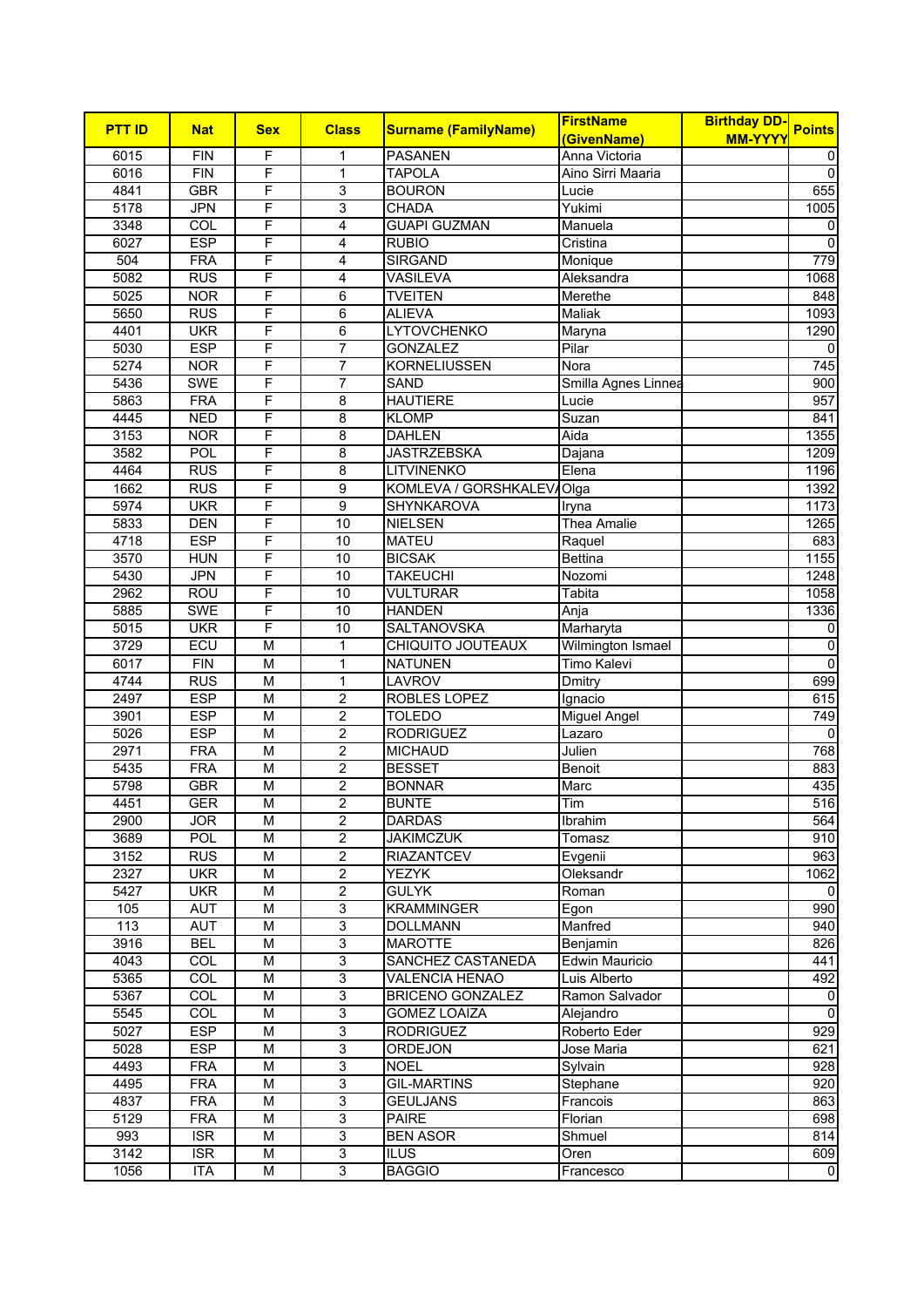| <b>PTT ID</b> |                  |                         |                |                             | <b>FirstName</b>      | <b>Birthday DD-</b> | <b>Points</b>    |
|---------------|------------------|-------------------------|----------------|-----------------------------|-----------------------|---------------------|------------------|
|               | <b>Nat</b>       | <b>Sex</b>              | <b>Class</b>   | <b>Surname (FamilyName)</b> | (GivenName)           | <b>MM-YYYY</b>      |                  |
| 6015          | <b>FIN</b>       | F                       | 1              | <b>PASANEN</b>              | Anna Victoria         |                     | 0                |
| 6016          | <b>FIN</b>       | F                       | $\mathbf{1}$   | <b>TAPOLA</b>               | Aino Sirri Maaria     |                     | $\mathbf 0$      |
| 4841          | <b>GBR</b>       | F                       | 3              | <b>BOURON</b>               | Lucie                 |                     | 655              |
| 5178          | <b>JPN</b>       | F                       | 3              | <b>CHADA</b>                | Yukimi                |                     | 1005             |
| 3348          | $\overline{COL}$ | F                       | 4              | <b>GUAPI GUZMAN</b>         | Manuela               |                     | 0                |
| 6027          | <b>ESP</b>       | F                       | 4              | <b>RUBIO</b>                | Cristina              |                     | $\mathbf 0$      |
| 504           | <b>FRA</b>       | F                       | 4              | <b>SIRGAND</b>              | Monique               |                     | 779              |
| 5082          | <b>RUS</b>       | F                       | 4              | <b>VASILEVA</b>             | Aleksandra            |                     | 1068             |
| 5025          | <b>NOR</b>       | F                       | 6              | <b>TVEITEN</b>              | Merethe               |                     | 848              |
| 5650          | <b>RUS</b>       | F                       | $\overline{6}$ | <b>ALIEVA</b>               | Maliak                |                     | 1093             |
| 4401          | <b>UKR</b>       | F                       | 6              | <b>LYTOVCHENKO</b>          | Maryna                |                     | 1290             |
| 5030          | <b>ESP</b>       | F                       | $\overline{7}$ | <b>GONZALEZ</b>             | Pilar                 |                     | 0                |
| 5274          | <b>NOR</b>       | F                       | $\overline{7}$ | <b>KORNELIUSSEN</b>         | Nora                  |                     | $\overline{745}$ |
| 5436          | <b>SWE</b>       | F                       | $\overline{7}$ | SAND                        | Smilla Agnes Linnea   |                     | 900              |
| 5863          | <b>FRA</b>       | F                       | 8              | <b>HAUTIERE</b>             | Lucie                 |                     | 957              |
| 4445          | <b>NED</b>       | F                       | $\overline{8}$ | <b>KLOMP</b>                | Suzan                 |                     | 841              |
| 3153          | <b>NOR</b>       | F                       | 8              | <b>DAHLEN</b>               | Aida                  |                     | 1355             |
| 3582          | POL              | F                       | 8              | <b>JASTRZEBSKA</b>          |                       |                     | 1209             |
|               |                  |                         |                |                             | Dajana                |                     |                  |
| 4464          | <b>RUS</b>       | F                       | 8              | <b>LITVINENKO</b>           | Elena                 |                     | 1196             |
| 1662          | <b>RUS</b>       | F                       | 9              | KOMLEVA / GORSHKALEV        | Olga                  |                     | 1392             |
| 5974          | <b>UKR</b>       | F                       | $\overline{9}$ | <b>SHYNKAROVA</b>           | Iryna                 |                     | 1173             |
| 5833          | <b>DEN</b>       | F                       | 10             | <b>NIELSEN</b>              | <b>Thea Amalie</b>    |                     | 1265             |
| 4718          | <b>ESP</b>       | F                       | 10             | <b>MATEU</b>                | Raquel                |                     | 683              |
| 3570          | <b>HUN</b>       | F                       | 10             | <b>BICSAK</b>               | <b>Bettina</b>        |                     | 1155             |
| 5430          | <b>JPN</b>       | F                       | 10             | <b>TAKEUCHI</b>             | Nozomi                |                     | 1248             |
| 2962          | <b>ROU</b>       | F                       | 10             | <b>VULTURAR</b>             | Tabita                |                     | 1058             |
| 5885          | <b>SWE</b>       | F                       | 10             | <b>HANDEN</b>               | Anja                  |                     | 1336             |
| 5015          | <b>UKR</b>       | F                       | 10             | <b>SALTANOVSKA</b>          | Marharyta             |                     | 0                |
| 3729          | ECU              | M                       | 1              | CHIQUITO JOUTEAUX           | Wilmington Ismael     |                     | $\overline{0}$   |
| 6017          | <b>FIN</b>       | M                       | 1              | <b>NATUNEN</b>              | <b>Timo Kalevi</b>    |                     | $\mathbf 0$      |
| 4744          | RUS              | M                       | $\mathbf 1$    | LAVROV                      | Dmitry                |                     | 699              |
| 2497          | <b>ESP</b>       | M                       | $\overline{2}$ | <b>ROBLES LOPEZ</b>         | Ignacio               |                     | 615              |
| 3901          | <b>ESP</b>       | M                       | $\overline{2}$ | <b>TOLEDO</b>               | <b>Miguel Angel</b>   |                     | 749              |
| 5026          | <b>ESP</b>       | M                       | $\mathbf 2$    | <b>RODRIGUEZ</b>            | Lazaro                |                     |                  |
| 2971          | <b>FRA</b>       | $\overline{\mathsf{M}}$ | $\overline{2}$ | <b>MICHAUD</b>              | Julien                |                     | 768              |
| 5435          | <b>FRA</b>       | M                       | $\overline{2}$ | <b>BESSET</b>               | Benoit                |                     | 883              |
| 5798          | <b>GBR</b>       | M                       | $\overline{2}$ | <b>BONNAR</b>               | Marc                  |                     | 435              |
| 4451          | <b>GER</b>       | M                       | $\overline{2}$ | <b>BUNTE</b>                | Tim                   |                     | 516              |
| 2900          | JOR              | M                       | $\overline{2}$ | <b>DARDAS</b>               | <b>Ibrahim</b>        |                     | 564              |
| 3689          | POL              | М                       | 2              | <b>JAKIMCZUK</b>            | Tomasz                |                     | 910              |
| 3152          | <b>RUS</b>       | M                       | $\overline{2}$ | <b>RIAZANTCEV</b>           | Evgenii               |                     | 963              |
| 2327          | <b>UKR</b>       | M                       | $\overline{2}$ | <b>YEZYK</b>                | Oleksandr             |                     | 1062             |
| 5427          | <b>UKR</b>       | M                       | $\overline{2}$ | <b>GULYK</b>                | Roman                 |                     | 0                |
| 105           | AUT              | M                       | $\overline{3}$ | <b>KRAMMINGER</b>           | Egon                  |                     | 990              |
| 113           | <b>AUT</b>       | M                       | 3              | <b>DOLLMANN</b>             | Manfred               |                     | 940              |
| 3916          | <b>BEL</b>       | М                       | 3              | <b>MAROTTE</b>              | Benjamin              |                     | 826              |
| 4043          | COL              | M                       | $\overline{3}$ | SANCHEZ CASTANEDA           | <b>Edwin Mauricio</b> |                     | 441              |
| 5365          | <b>COL</b>       | М                       | $\overline{3}$ | <b>VALENCIA HENAO</b>       | Luis Alberto          |                     | 492              |
| 5367          | COL              | M                       | $\overline{3}$ | <b>BRICENO GONZALEZ</b>     | Ramon Salvador        |                     | 0                |
| 5545          | COL              | м                       | 3              | <b>GOMEZ LOAIZA</b>         | Alejandro             |                     | $\mathbf 0$      |
| 5027          | <b>ESP</b>       | M                       | $\overline{3}$ | <b>RODRIGUEZ</b>            | Roberto Eder          |                     | 929              |
| 5028          | <b>ESP</b>       | M                       | $\overline{3}$ | <b>ORDEJON</b>              | Jose Maria            |                     | 621              |
| 4493          | <b>FRA</b>       | M                       | 3              | <b>NOEL</b>                 | Sylvain               |                     | 928              |
|               |                  |                         | 3              | <b>GIL-MARTINS</b>          |                       |                     |                  |
| 4495          | <b>FRA</b>       | M                       |                |                             | Stephane              |                     | 920              |
| 4837          | <b>FRA</b>       | М                       | 3              | <b>GEULJANS</b>             | Francois              |                     | 863              |
| 5129          | <b>FRA</b>       | М                       | $\overline{3}$ | <b>PAIRE</b>                | Florian               |                     | 698              |
| 993           | <b>ISR</b>       | M                       | 3              | <b>BEN ASOR</b>             | Shmuel                |                     | 814              |
| 3142          | <b>ISR</b>       | M                       | 3              | <b>ILUS</b>                 | Oren                  |                     | 609              |
| 1056          | <b>ITA</b>       | М                       | $\overline{3}$ | <b>BAGGIO</b>               | Francesco             |                     | $\mathbf 0$      |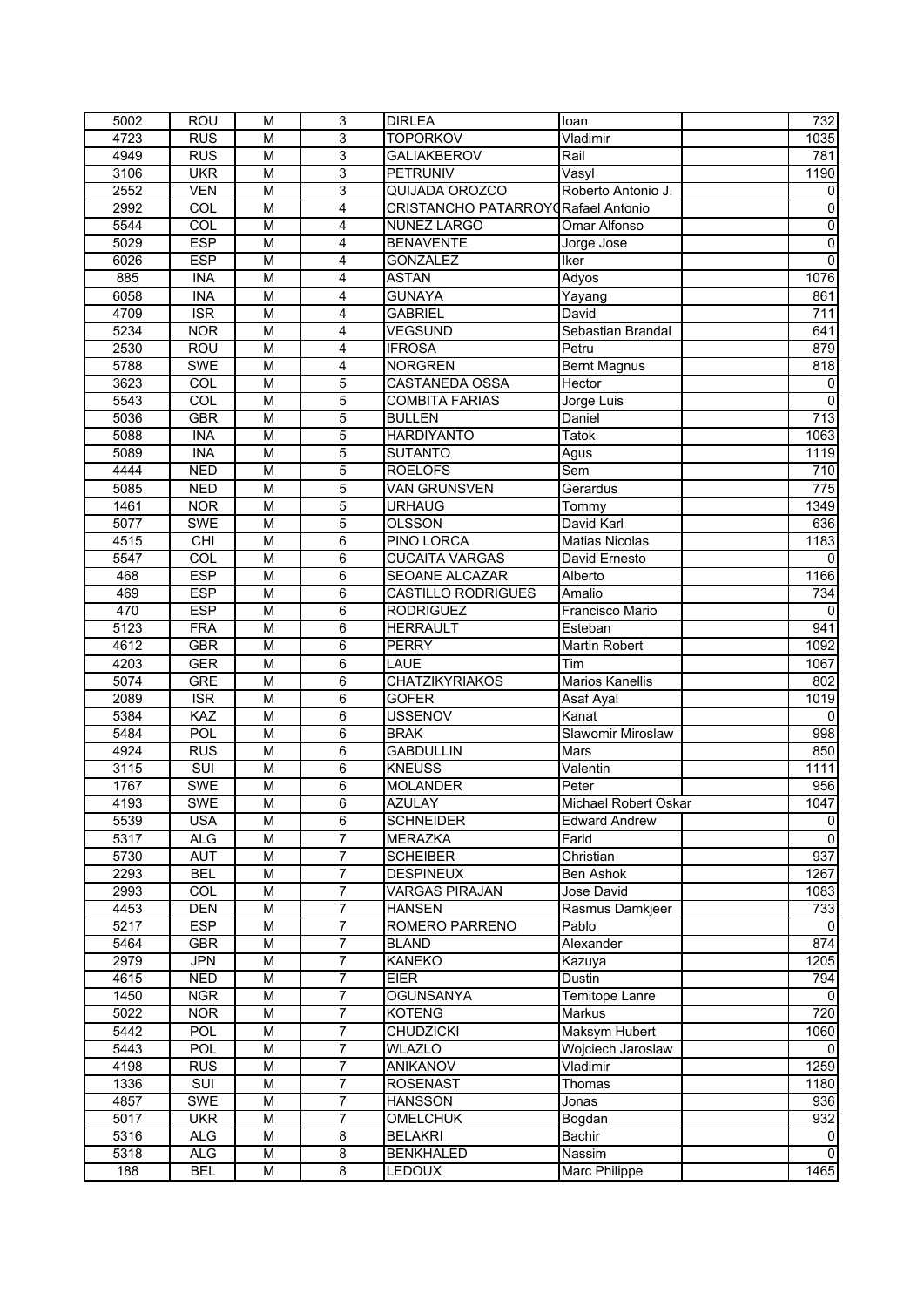| 5002 | <b>ROU</b>              | M | 3                       | <b>DIRLEA</b>                              | loan                   | 732              |
|------|-------------------------|---|-------------------------|--------------------------------------------|------------------------|------------------|
| 4723 | <b>RUS</b>              | M | $\overline{3}$          | <b>TOPORKOV</b>                            | Vladimir               | 1035             |
| 4949 | <b>RUS</b>              | M | 3                       | <b>GALIAKBEROV</b>                         | Rail                   | 781              |
| 3106 | <b>UKR</b>              | M | 3                       | <b>PETRUNIV</b>                            | Vasyl                  | 1190             |
| 2552 | <b>VEN</b>              | M | 3                       | QUIJADA OROZCO                             | Roberto Antonio J.     | 0                |
| 2992 | COL                     | M | 4                       | <b>CRISTANCHO PATARROY GRafael Antonio</b> |                        | 0                |
| 5544 | COL                     | M | 4                       | <b>NUNEZ LARGO</b>                         | Omar Alfonso           | $\pmb{0}$        |
| 5029 | <b>ESP</b>              | M | $\overline{4}$          | <b>BENAVENTE</b>                           | Jorge Jose             | $\overline{0}$   |
| 6026 | <b>ESP</b>              | M | 4                       | <b>GONZALEZ</b>                            | <b>Iker</b>            | $\overline{0}$   |
|      |                         |   |                         |                                            |                        | 1076             |
| 885  | <b>INA</b>              | M | 4                       | <b>ASTAN</b>                               | Adyos                  |                  |
| 6058 | <b>INA</b>              | M | 4                       | <b>GUNAYA</b>                              | Yayang                 | 861              |
| 4709 | $\overline{\text{ISR}}$ | M | 4                       | <b>GABRIEL</b>                             | David                  | 711              |
| 5234 | <b>NOR</b>              | M | 4                       | <b>VEGSUND</b>                             | Sebastian Brandal      | 641              |
| 2530 | <b>ROU</b>              | M | 4                       | <b>IFROSA</b>                              | Petru                  | 879              |
| 5788 | <b>SWE</b>              | M | 4                       | <b>NORGREN</b>                             | <b>Bernt Magnus</b>    | 818              |
| 3623 | COL                     | M | $\overline{5}$          | CASTANEDA OSSA                             | Hector                 | $\mathbf 0$      |
| 5543 | COL                     | M | $\overline{5}$          | <b>COMBITA FARIAS</b>                      | Jorge Luis             | $\overline{0}$   |
| 5036 | <b>GBR</b>              | M | 5                       | <b>BULLEN</b>                              | Daniel                 | $\overline{713}$ |
| 5088 | <b>INA</b>              | M | $\overline{5}$          | <b>HARDIYANTO</b>                          | Tatok                  | 1063             |
| 5089 | <b>INA</b>              | M | 5                       | <b>SUTANTO</b>                             | Agus                   | 1119             |
| 4444 | <b>NED</b>              | M | $\overline{5}$          | <b>ROELOFS</b>                             | Sem                    | 710              |
| 5085 | <b>NED</b>              | M | 5                       | <b>VAN GRUNSVEN</b>                        | Gerardus               | $\overline{775}$ |
| 1461 | <b>NOR</b>              | M | 5                       | <b>URHAUG</b>                              | Tommy                  | 1349             |
| 5077 | <b>SWE</b>              | M | $\overline{5}$          | <b>OLSSON</b>                              | David Karl             | 636              |
| 4515 | CHI                     | M | $\overline{6}$          | PINO LORCA                                 | <b>Matias Nicolas</b>  | 1183             |
| 5547 | COL                     | M | 6                       | <b>CUCAITA VARGAS</b>                      | David Ernesto          | $\Omega$         |
| 468  | <b>ESP</b>              | M | $\overline{6}$          | <b>SEOANE ALCAZAR</b>                      | Alberto                | 1166             |
| 469  | <b>ESP</b>              | M | 6                       | <b>CASTILLO RODRIGUES</b>                  | Amalio                 | 734              |
| 470  | <b>ESP</b>              |   |                         |                                            |                        |                  |
|      |                         | M | 6                       | <b>RODRIGUEZ</b>                           | Francisco Mario        | $\Omega$         |
| 5123 | <b>FRA</b>              | M | 6                       | <b>HERRAULT</b>                            | Esteban                | 941              |
| 4612 | <b>GBR</b>              | M | 6                       | <b>PERRY</b>                               | Martin Robert          | 1092             |
| 4203 | <b>GER</b>              | м | 6                       | LAUE                                       | Tim                    | 1067             |
| 5074 | <b>GRE</b>              | M | 6                       | <b>CHATZIKYRIAKOS</b>                      | <b>Marios Kanellis</b> | 802              |
| 2089 | <b>ISR</b>              | M | 6                       | <b>GOFER</b>                               | Asaf Ayal              | 1019             |
| 5384 | <b>KAZ</b>              | M | 6                       | <b>USSENOV</b>                             | Kanat                  |                  |
| 5484 | POL                     | M | 6                       | <b>BRAK</b>                                | Slawomir Miroslaw      | 998              |
| 4924 | <b>RUS</b>              | M | 6                       | <b>GABDULLIN</b>                           | Mars                   | 850              |
| 3115 | $\overline{\text{SUI}}$ | M | 6                       | <b>KNEUSS</b>                              | Valentin               | 1111             |
| 1767 | <b>SWE</b>              | M | 6                       | <b>MOLANDER</b>                            | Peter                  | 956              |
| 4193 | <b>SWE</b>              | М | 6                       | <b>AZULAY</b>                              | Michael Robert Oskar   | 1047             |
| 5539 | <b>USA</b>              | M | 6                       | <b>SCHNEIDER</b>                           | <b>Edward Andrew</b>   | $\,0\,$          |
| 5317 | <b>ALG</b>              | М | 7                       | <b>MERAZKA</b>                             | Farid                  | $\mathbf 0$      |
| 5730 | <b>AUT</b>              | М | 7                       | <b>SCHEIBER</b>                            | Christian              | 937              |
| 2293 | <b>BEL</b>              | М | $\overline{7}$          | <b>DESPINEUX</b>                           | Ben Ashok              | 1267             |
| 2993 | COL                     | М | $\overline{7}$          | <b>VARGAS PIRAJAN</b>                      | Jose David             | 1083             |
| 4453 | <b>DEN</b>              | M | $\overline{7}$          | <b>HANSEN</b>                              | Rasmus Damkjeer        | 733              |
| 5217 | <b>ESP</b>              | M | 7                       | ROMERO PARRENO                             | Pablo                  | $\Omega$         |
| 5464 | <b>GBR</b>              | М | $\boldsymbol{7}$        | <b>BLAND</b>                               | Alexander              | 874              |
| 2979 | <b>JPN</b>              |   | $\boldsymbol{7}$        | <b>KANEKO</b>                              | Kazuya                 |                  |
|      |                         | М |                         |                                            |                        | 1205             |
| 4615 | <b>NED</b>              | M | $\overline{7}$          | <b>EIER</b>                                | Dustin                 | 794              |
| 1450 | <b>NGR</b>              | М | $\overline{7}$          | <b>OGUNSANYA</b>                           | Temitope Lanre         | 0                |
| 5022 | <b>NOR</b>              | М | $\overline{7}$          | <b>KOTENG</b>                              | Markus                 | 720              |
| 5442 | POL                     | М | $\overline{7}$          | <b>CHUDZICKI</b>                           | Maksym Hubert          | 1060             |
| 5443 | POL                     | М | $\overline{7}$          | <b>WLAZLO</b>                              | Wojciech Jaroslaw      | 0                |
| 4198 | <b>RUS</b>              | М | $\overline{7}$          | <b>ANIKANOV</b>                            | Vladimir               | 1259             |
| 1336 | $\overline{\text{SUI}}$ | М | $\overline{7}$          | <b>ROSENAST</b>                            | Thomas                 | 1180             |
| 4857 | <b>SWE</b>              | М | 7                       | <b>HANSSON</b>                             | Jonas                  | 936              |
| 5017 | <b>UKR</b>              | М | $\overline{7}$          | <b>OMELCHUK</b>                            | Bogdan                 | 932              |
| 5316 | <b>ALG</b>              | М | $\overline{\mathbf{8}}$ | <b>BELAKRI</b>                             | Bachir                 | 0                |
| 5318 | <b>ALG</b>              | М | 8                       | <b>BENKHALED</b>                           | Nassim                 | $\Omega$         |
| 188  | <b>BEL</b>              | М | $\overline{8}$          | <b>LEDOUX</b>                              | Marc Philippe          | 1465             |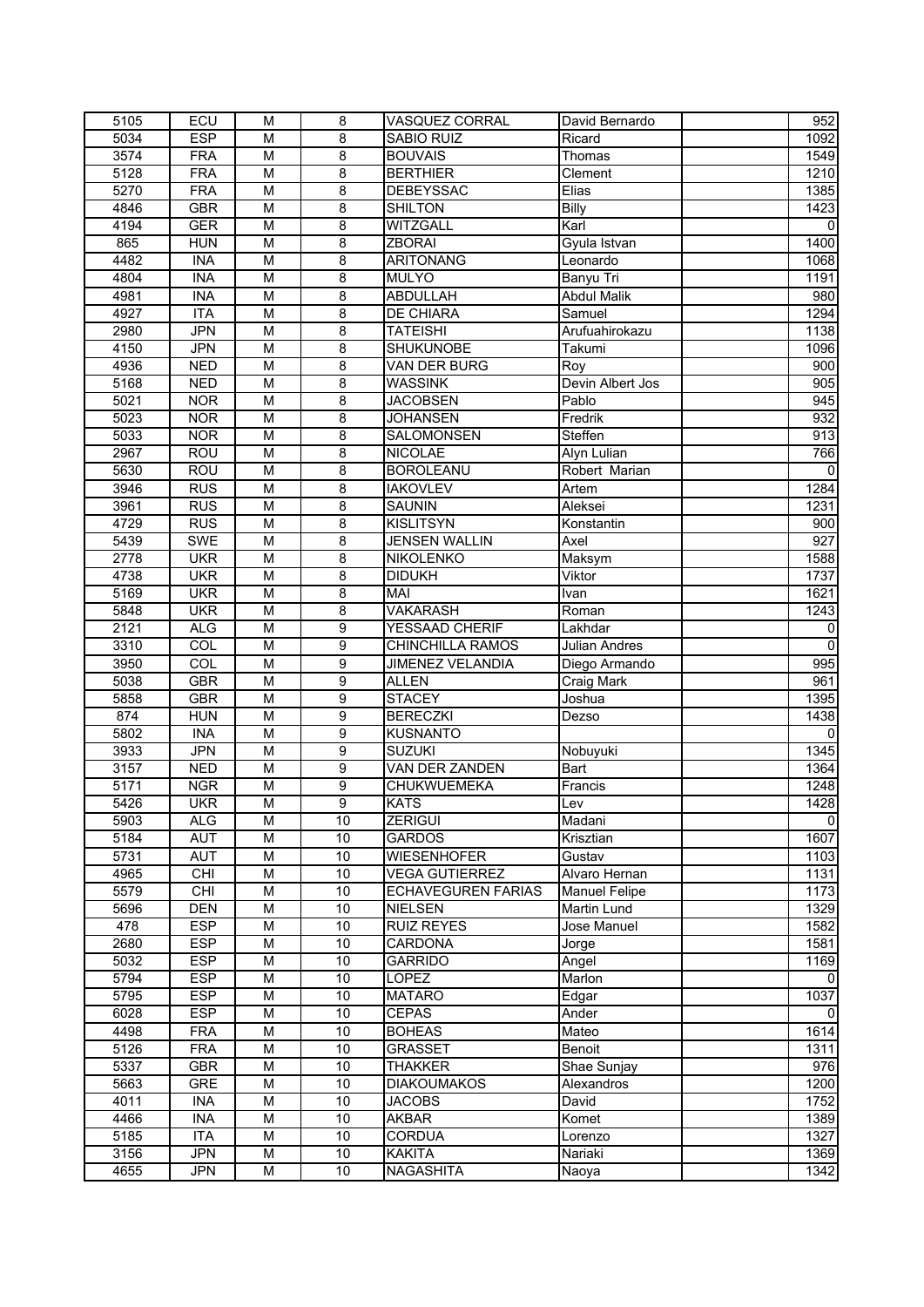| 5105        | ECU        | M                       | 8               | <b>VASQUEZ CORRAL</b>     | David Bernardo       | 952              |
|-------------|------------|-------------------------|-----------------|---------------------------|----------------------|------------------|
| 5034        | <b>ESP</b> | M                       | $\overline{8}$  | SABIO RUIZ                | Ricard               | 1092             |
| 3574        | <b>FRA</b> | M                       | 8               | <b>BOUVAIS</b>            | Thomas               | 1549             |
| 5128        | <b>FRA</b> | $\overline{\mathsf{M}}$ | $\overline{8}$  | <b>BERTHIER</b>           | Clement              | 1210             |
| 5270        | <b>FRA</b> | $\overline{\mathsf{M}}$ | 8               | <b>DEBEYSSAC</b>          | Elias                | 1385             |
| 4846        | <b>GBR</b> | M                       | 8               | <b>SHILTON</b>            | <b>Billy</b>         | 1423             |
| 4194        | <b>GER</b> | M                       | 8               | WITZGALL                  | Karl                 | 0                |
| 865         | <b>HUN</b> | M                       | $\overline{8}$  | <b>ZBORAI</b>             | Gyula Istvan         | 1400             |
| 4482        | <b>INA</b> | M                       | $\overline{8}$  | <b>ARITONANG</b>          | Leonardo             | 1068             |
| 4804        | <b>INA</b> | M                       | 8               | <b>MULYO</b>              | Banyu Tri            | 1191             |
|             | <b>INA</b> | M                       | $\overline{8}$  |                           |                      |                  |
| 4981        |            |                         |                 | ABDULLAH                  | <b>Abdul Malik</b>   | 980              |
| 4927        | <b>ITA</b> | M                       | 8               | <b>DE CHIARA</b>          | Samuel               | 1294             |
| 2980        | <b>JPN</b> | M                       | 8               | <b>TATEISHI</b>           | Arufuahirokazu       | 1138             |
| 4150        | <b>JPN</b> | M                       | 8               | <b>SHUKUNOBE</b>          | Takumi               | 1096             |
| 4936        | <b>NED</b> | M                       | 8               | VAN DER BURG              | Roy                  | 900              |
| 5168        | <b>NED</b> | M                       | $\overline{8}$  | <b>WASSINK</b>            | Devin Albert Jos     | 905              |
| 5021        | <b>NOR</b> | M                       | $\overline{8}$  | <b>JACOBSEN</b>           | Pablo                | 945              |
| 5023        | <b>NOR</b> | M                       | $\overline{8}$  | <b>JOHANSEN</b>           | Fredrik              | 932              |
| 5033        | <b>NOR</b> | $\overline{\mathsf{M}}$ | $\overline{8}$  | SALOMONSEN                | Steffen              | 913              |
| 2967        | <b>ROU</b> | M                       | 8               | <b>NICOLAE</b>            | Alyn Lulian          | 766              |
| 5630        | <b>ROU</b> | M                       | 8               | <b>BOROLEANU</b>          | Robert Marian        | $\mathbf{0}$     |
| 3946        | <b>RUS</b> | M                       | 8               | <b>IAKOVLEV</b>           | Artem                | 1284             |
| 3961        | <b>RUS</b> | M                       | 8               | <b>SAUNIN</b>             | Aleksei              | 1231             |
| 4729        | <b>RUS</b> | M                       | 8               | <b>KISLITSYN</b>          | Konstantin           | 900              |
| 5439        | <b>SWE</b> | M                       | $\overline{8}$  | <b>JENSEN WALLIN</b>      | Axel                 | $\overline{927}$ |
| 2778        | <b>UKR</b> | M                       | 8               | <b>NIKOLENKO</b>          | Maksym               | 1588             |
| 4738        | <b>UKR</b> | $\overline{\mathsf{M}}$ | $\overline{8}$  | <b>DIDUKH</b>             | Viktor               | 1737             |
| 5169        | <b>UKR</b> | M                       | 8               | MAI                       | Ivan                 | 1621             |
| 5848        | <b>UKR</b> | $\overline{\mathsf{M}}$ | 8               | <b>VAKARASH</b>           | Roman                | 1243             |
| 2121        | <b>ALG</b> | M                       | 9               | YESSAAD CHERIF            | Lakhdar              | 0                |
| 3310        | COL        | M                       | 9               | <b>CHINCHILLA RAMOS</b>   | <b>Julian Andres</b> | $\mathbf 0$      |
| 3950        | COL        | M                       | $\overline{9}$  | <b>JIMENEZ VELANDIA</b>   | Diego Armando        | 995              |
| 5038        | <b>GBR</b> | M                       | $\overline{9}$  | ALLEN                     | Craig Mark           | 961              |
|             | <b>GBR</b> | M                       | $\overline{9}$  | <b>STACEY</b>             | Joshua               | 1395             |
| 5858<br>874 |            | M                       | 9               | <b>BERECZKI</b>           |                      |                  |
|             | <b>HUN</b> |                         |                 |                           | Dezso                | 1438             |
| 5802        | <b>INA</b> | M                       | 9               | <b>KUSNANTO</b>           |                      |                  |
| 3933        | JPN        | M                       | 9               | <b>SUZUKI</b>             | Nobuyuki             | 1345             |
| 3157        | <b>NED</b> | M                       | 9               | <b>VAN DER ZANDEN</b>     | Bart                 | 1364             |
| 5171        | <b>NGR</b> | M                       | 9               | CHUKWUEMEKA               | Francis              | 1248             |
| 5426        | <b>UKR</b> | М                       | 9               | <b>KATS</b>               | Lev                  | 1428             |
| 5903        | <b>ALG</b> | M                       | 10              | <b>ZERIGUI</b>            | Madani               | $\pmb{0}$        |
| 5184        | <b>AUT</b> | М                       | 10              | <b>GARDOS</b>             | Krisztian            | 1607             |
| 5731        | <b>AUT</b> | М                       | 10              | <b>WIESENHOFER</b>        | Gustav               | 1103             |
| 4965        | CHI        | M                       | 10              | <b>VEGA GUTIERREZ</b>     | Alvaro Hernan        | 1131             |
| 5579        | CHI        | М                       | 10              | <b>ECHAVEGUREN FARIAS</b> | <b>Manuel Felipe</b> | 1173             |
| 5696        | <b>DEN</b> | M                       | 10              | <b>NIELSEN</b>            | <b>Martin Lund</b>   | 1329             |
| 478         | <b>ESP</b> | M                       | 10              | <b>RUIZ REYES</b>         | Jose Manuel          | 1582             |
| 2680        | <b>ESP</b> | М                       | 10              | CARDONA                   | Jorge                | 1581             |
| 5032        | <b>ESP</b> | М                       | 10              | <b>GARRIDO</b>            | Angel                | 1169             |
| 5794        | <b>ESP</b> | M                       | 10              | LOPEZ                     | Marlon               | 0                |
| 5795        | <b>ESP</b> | М                       | 10              | <b>MATARO</b>             | Edgar                | 1037             |
| 6028        | <b>ESP</b> | M                       | 10              | <b>CEPAS</b>              | Ander                | $\Omega$         |
| 4498        | <b>FRA</b> | М                       | 10              | <b>BOHEAS</b>             | Mateo                | 1614             |
| 5126        | <b>FRA</b> | М                       | 10              | <b>GRASSET</b>            | Benoit               | 1311             |
| 5337        | <b>GBR</b> | М                       | 10              | <b>THAKKER</b>            | Shae Sunjay          | 976              |
| 5663        | <b>GRE</b> | М                       | 10              | <b>DIAKOUMAKOS</b>        | Alexandros           | 1200             |
| 4011        | <b>INA</b> | М                       | $10$            | <b>JACOBS</b>             | David                | 1752             |
| 4466        | <b>INA</b> | M                       | 10              | <b>AKBAR</b>              | Komet                | 1389             |
|             |            |                         |                 |                           |                      |                  |
| 5185        | <b>ITA</b> | М                       | 10              | <b>CORDUA</b>             | Lorenzo              | 1327             |
| 3156        | <b>JPN</b> | М                       | 10              | <b>KAKITA</b>             | Nariaki              | 1369             |
| 4655        | <b>JPN</b> | М                       | $\overline{10}$ | <b>NAGASHITA</b>          | Naoya                | 1342             |